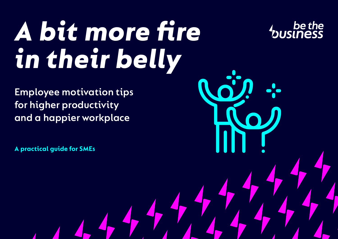# *A bit more fire in their belly*

**Employee motivation tips for higher productivity and a happier workplace**

**A practical guide for SMEs**

be the<br>business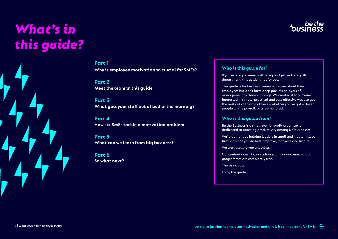# *What's in this guide?*



### **Part 1**

**[Why is employee motivation so crucial for SMEs?](#page-2-0)**

**Part 2 [Meet the team in this guide](#page-3-0)** 

### **Part 3 [What gets your staff out of bed in the morning?](#page-4-0)**

**Part 4 [How six SMEs tackle a motivation problem](#page-8-0)** 

**Part 5 [What can we learn from big business?](#page-15-0)** 

**Part 6 [So what next?](#page-18-0)** 

### **Who is this guide** *for***?**

If you're a big business with a big budget and a big HR department, this guide is not for you.

This guide is for business owners who care about their employees but don't have deep pockets or layers of management to throw at things. We created it for anyone interested in simple, practical and cost-effective ways to get the best out of their workforce – whether you've got a dozen people on the payroll, or a few hundred.

### **Who is this guide** *from***?**

Be the Business is a small, not-for-profit organisation dedicated to boosting productivity among UK businesses.

We're doing it by helping leaders in small and medium-sized firms do what you do best: improve, innovate and inspire.

We aren't selling you anything.

Our content doesn't carry ads or sponsors and most of our programmes are completely free.

There's no catch.

Enjoy the guide.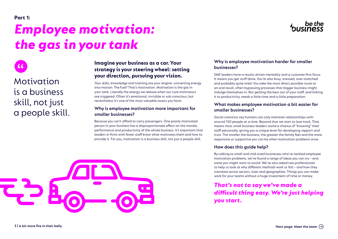# <span id="page-2-0"></span>*Employee motivation: the gas in your tank*



Motivation is a business skill, not just a people skill.

### **Imagine your business as a car. Your strategy is your steering wheel: setting your direction, pursuing your vision.**

Your skills, knowledge and training are your engine: converting energy into motion. The fuel? That's motivation. Motivation is the gas in your tank. Literally the energy we release when our core motivators are triggered. Often it's emotional, invisible or sub-conscious, but nevertheless it's one of the most valuable assets you have.

### **Why is employee motivation more important for smaller businesses?**

Because you can't afford to carry passengers. One poorly motivated person in your business has a disproportionate effect on the morale, performance and productivity of the whole business. It's important that leaders in firms with fewer staff know what motivates them and how to provide it. For you, motivation is a business skill, not just a people skill.



### **Why is employee motivation harder for smaller businesses?**

SME leaders have a results-driven mentality and a customer-first focus. It means you get stuff done. You're also busy, stressed, over-stretched and probably quite tired. You take the most direct possible route to an end result, often bypassing processes that bigger business might indulge themselves in. But getting the best out of your staff, and linking it to productivity, needs a little time and a little preparation.

### **What makes employee motivation a bit easier for smaller businesses?**

Social scientists say humans can only maintain relationships with around 150 people at a time. Beyond that we start to lose track. That means most small business leaders stand a chance of "knowing" their staff personally, giving you a unique lever for developing rapport and trust. The smaller the business, the greater the family feel and the more responsive or supportive you can be when motivation problems arise.

### **How does this guide help?**

By talking to small and mid-sized businesses who've tackled employee motivation problems, we've found a range of ideas you can try – and some you might want to avoid. We've also asked two professionals to help us look at why different methods work or fail – and how they translate across sectors, sizes and geographies. Things you can make work for your teams without a huge investment of time or money.

*That's not to say we've made a difficult thing easy. We're just helping you start.*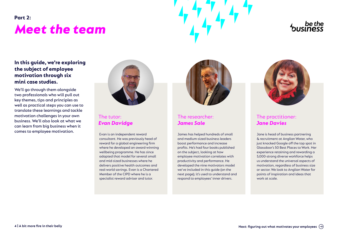# <span id="page-3-0"></span>*Meet the team* **Part 2:**



### **In this guide, we're exploring the subject of employee motivation through six mini case studies.**

We'll go through them alongside two professionals who will pull out key themes, tips and principles as well as practical steps you can use to translate these learnings and tackle motivation challenges in your own business. We'll also look at what we can learn from big business when it comes to employee motivation.



### The tutor: *Evan Davidge*

Evan is an independent reward consultant. He was previously head of reward for a global engineering firm where he developed an award-winning wellbeing programme. He has since adapted that model for several small and mid-sized businesses where he delivers positive health outcomes and real-world savings. Evan is a Chartered Member of the CIPD where he is a specialist reward adviser and tutor.



### The researcher: *James Sale*

James has helped hundreds of small and medium-sized business leaders boost performance and increase profits. He's had four books published on the subject, looking at how employee motivation correlates with productivity and performance. He developed the nine motivators model we've included in this guide (on the next page); it's used to understand and respond to employees' inner drivers.



### The practitioner: *Jane Davies*

Jane is head of business partnering & recruitment at Anglian Water, who just knocked Google off the top spot in Glassdoor's 50 Best Places to Work. Her experience retaining and rewarding a 5,000-strong diverse workforce helps us understand the universal aspects of motivation, regardless of business size or sector. We look to Anglian Water for points of inspiration and ideas that work at scale.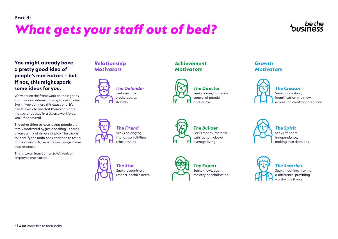# <span id="page-4-0"></span>*What gets your staff out of bed?*



### **You might already have a pretty good idea of people's motivators – but if not, this might spark some ideas for you.**

We've taken the framework on the right as a simple and interesting way to get started. Even if you don't use this exact one, it's a useful way to see that there's no single motivator at play in a diverse workforce. You'll find several.

The other thing to note is that people are rarely motivated by just one thing – there's always a mix of drivers at play. The trick is to identify the main ones and then to test a range of rewards, benefits and programmes that resonate.

This is taken from James Sale's work on employee motivation.

### *[Relationship](#page-5-0)  Motivators*



*[The Defender](#page-5-0)* Seeks security, predictability, stability



*The Friend* Seeks belonging. [friendship, fulfilling](#page-5-0)  relationships



*[Achievement](#page-6-0) Motivators*

*The Star* Seeks recognition, [respect, social esteem](#page-5-0)



*The Director* [Seeks power, influence,](#page-6-0)  control of people or resources

Seeks knowledge, [mastery, specialisation](#page-6-0)

### *Growth [Motivators](#page-7-0)*



*The Creator* Seeks innovation, identification with new, [expressing creative potentioal](#page-7-0)



*The Spirit* Seeks freedom, independence, [making own decisions](#page-7-0)



*The Searcher* [Seeks meaning, making](#page-7-0)  a difference, providing worthwhile things

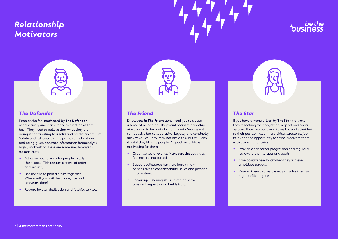## <span id="page-5-0"></span>*Relationship Motivators*



### *The Defender*

People who feel motivated by **The Defender**, need security and reassurance to function at their best. They need to believe that what they are doing is contributing to a solid and predictable future. Safety and risk-aversion are prime considerations, and being given accurate information frequently is highly motivating. Here are some simple ways to nurture them:

- **•** Allow an hour a week for people to tidy their space. This creates a sense of order and security.
- **•** Use reviews to plan a future together. Where will you both be in one, five and ten years' time?
- **•** Reward loyalty, dedication and faithful service.

### *The Friend*

Employees in **The Friend** zone need you to create a sense of belonging. They want social relationships at work and to be part of a community. Work is not competitive but collaborative. Loyalty and continuity are key values. They may not like a task but will stick it out if they like the people. A good social life is motivating for them:

- **•** Organise social events. Make sure the activities feel natural not forced.
- **•** Support colleagues having a hard time be sensitive to confidentiality issues and personal information.
- **•** Encourage listening skills. Listening shows care and respect – and builds trust.



### *The Star*

If you have anyone driven by **The Star** motivator they're looking for recognition, respect and social esteem. They'll respond well to visible perks that link to their position, clear hierarchical structures, job titles and the opportunity to shine. Motivate them with awards and status.

- **•** Provide clear career progression and regularly reviewing their targets and goals.
- **•** Give positive feedback when they achieve ambitious targets.
- **•** Reward them in a visible way involve them in high-profile projects.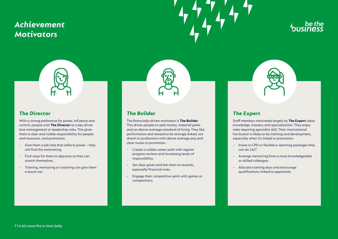## <span id="page-6-0"></span>*Achievement Motivators*





### *The Director*

With a strong preference for power, influence and control, people with **The Director** as a key driver love management or leadership roles. This gives them a clear and visible responsibility for people and resources, and promotion.

- **•** Give them a job title that reflects power they will find this motivating.
- **•** Find ways for them to deputise so they can stretch themselves.
- **•** Training, mentoring or coaching can give them a boost too.

### *The Builder*

The financially-driven motivator is **The Builder**. This drives people to seek money, material perks and an above-average standard of living. They like performance and reward to be strongly linked, are drawn to professions with above average pay and clear routes to promotion.

- **•** Create a visible career path with regular progress reviews and increasing levels of responsibility.
- **•** Set clear goals and link them to rewards, especially financial ones.
- **•** Engage their competitive spirit with games or competitions.



### *The Expert*

Staff members motivated largely by **The Expert** value knowledge, mastery and specialisation. They enjoy roles requiring specialist skill. Their motivational hot button is likely to be training and development, especially when it's linked to promotion.

- **•** Invest in CPD or flexible e–learning packages they can do 24/7.
- **•** Arrange mentoring from a more knowledgeable or skilled colleague.
- **•** Allocate training days and encourage qualifications linked to appraisals.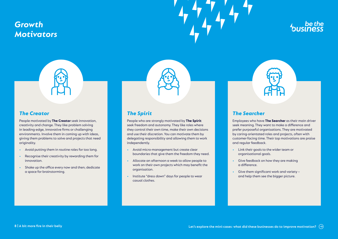## <span id="page-7-0"></span>*Growth Motivators*





### *The Creator*

People motivated by **The Creator** seek innovation, creativity and change. They like problem solving in leading-edge, innovative firms or challenging environments. Involve them in coming up with ideas, giving them problems to solve and projects that need originality.

- **•** Avoid putting them in routine roles for too long.
- **•** Recognise their creativity by rewarding them for innovation.
- **•** Shake up the office every now and then; dedicate a space for brainstorming.

### *The Spirit*

People who are strongly motivated by **The Spirit** seek freedom and autonomy. They like roles where they control their own time, make their own decisions and use their discretion. You can motivate them by delegating responsibility and allowing them to work independently.

- **•** Avoid micro-management but create clear boundaries that give them the freedom they need.
- **•** Allocate an afternoon a week to allow people to work on their own projects which may benefit the organisation.
- **•** Institute "dress down" days for people to wear casual clothes.



### *The Searcher*

Employees who have **The Searcher** as their main driver seek meaning. They want to make a difference and prefer purposeful organisations. They are motivated by caring-orientated roles and projects, often with customer-facing time. Their top motivations are praise and regular feedback.

- **•** Link their goals to the wider team or organisational goals.
- **•** Give feedback on how they are making a difference.
- **•** Give them significant work and variety and help them see the bigger picture.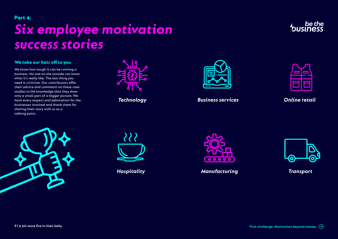# <span id="page-8-0"></span>*Six employee motivation success stories* **Part 4:**

### **We take our hats off to you**

We know how tough it can be running a business. No one on the outside can know what it's really like. The last thing you need it criticism. Our contributors offer their advice and comments on these case studies in the knowledge that they show only a small part of a bigger picture. We have every respect and admiration for the businesses involved and thank them for sharing their story with us as a talking point.



*Technology*



*Business services*

| --                | --                |
|-------------------|-------------------|
|                   |                   |
| <b>STATISTICS</b> | <b>STATISTICS</b> |
|                   |                   |

*Online retail*





*Hospitality*



*Manufacturing*



*Transport*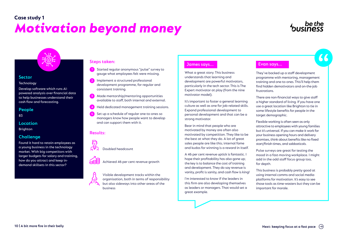## *Motivation beyond money* **Case study 1**



### **Sector**

### **Technology**

Develop software which runs AIpowered analysis over financial data to help businesses understand their cash flow and forecasting.

### **People**

83

### **Location**

**Brighton** 

### **Challenge**

Found it hard to retain employees as a young business in the technology market. With big competitors with larger budgets for salary and training, how do you attract and keep indemand skillsets in this sector?

### **Steps taken:**

- Started regular anonymous "pulse" survey to **1** gauge what employees felt were missing.
- Implement a structured professional development programme, for regular and consistent training. **2**
- Made mentorship/mentoring opportunities available to staff, both internal and external. **3**
- Held dedicated management training sessions. **4**
- Set up a schedule of regular one-to-ones so managers know how people want to develop and can support them with it. **5**

### **Results:**



### Doubled headcount

Achieved 46 per cent revenue growth

Visible development tracks within the organisation, both in terms of responsibility but also sideways into other areas of the business

### **James says... Evan says...**

What a great story. This business understands that learning and development are powerful motivators, particularly in the tech sector. This is The Expert motivator at play (from the nine motivator model).

It's important to foster a general learning culture as well as one for job-related skills. Expand professional development to personal development and that can be a strong motivator.

Bear in mind that people who are motivated by money are often also motivated by competition. They like to be the best at what they do. A lot of great sales people are like this; internal fame and kudos for winning is a reward in itself.

A 46 per cent revenue uptick is fantastic. I hope their profitability has also gone up; the key is to balance the cost of training and development. They do say revenue is vanity, profit is sanity, and cash flow is king!

I'm interested to know if the leaders in this firm are also developing themselves as leaders or managers. That would set a great example.

They've backed up a staff development programme with mentoring, management training and one-to-ones. This'll help them find hidden demotivators and on-the-job frustrations.  $\frac{1}{\pi}$ 

There are non-financial ways to give staff a higher standard of living. If you have one use a great location like Brighton to tie in some lifestyle benefits for people in the target demographic.

Flexible working is often seen as only attractive to employees with young families but it's universal. If you can make it work for your business opening hours and delivery promises, think about benefits like no fixed start/finish times, and sabbaticals.

Pulse surveys are great for testing the mood in a fast-moving workplace. I might add in the odd staff focus group too, for depth.

This business is probably pretty good at using internal comms and social media platforms for motivation. It's easy to see those tools as time-wasters but they can be important for morale.

**10 | A bit more fire in their belly**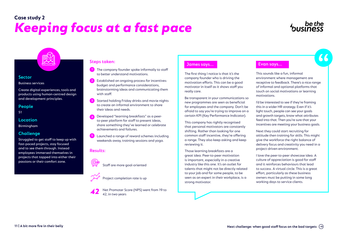## *Keeping focus at a fast pace*  **Case study 2**

### **Sector**

Business services

Create digital experiences, tools and products using human-centred design and development principles.

### **People**

51

### **Location**

Birmingham

### **Challenge**

Struggled to get staff to keep up with fast-paced projects, stay focused and to see them through. Instead employees immersed themselves in projects that tapped into either their passions or their comfort zone.

### **Steps taken:**

- **1** The company founder spoke informally to staff to better understand motivations.
- Established an ongoing process for incentives: budget and performance considerations, brainstorming ideas and communicating them with staff. **2**
- Started holding Friday drinks and movie nights to create an informal environment to share their ideas and needs. **3**
- Developed "learning breakfasts" as a peerto-peer platform for staff to present ideas, share something they've learned or celebrate achievements and failures. **4**
- Launched a range of reward schemes including weekends away, training sessions and yoga. **5**

### **Results:**





Project completion rate is up

Net Promoter Score (NPS) went from 19 to 42, in two years *42*

### **James says... Evan says...**

The first thing I notice is that it's the company founder who is driving the motivation efforts. This can be a good motivator in itself as it shows staff you really care.

Be transparent in your communications so new programmes are seen as beneficial for employees and the company. Don't be afraid to say you're trying to improve on a certain KPI (Key Performance Indicator).

This company has rightly recognised that personal motivators are constantly shifting. Rather than looking for one common staff incentive, they're offering a range. They also keep asking and keep reviewing it.

Those learning breakfasts are a great idea. Peer-to-peer motivation is important, especially in a creative industry like this one. It's an outlet for talents that might not be directly related to your job and for some people, to be seen as an expert in their workplace, is a strong motivator.

This sounds like a fun, informal environment where management are receptive to feedback. There's a nice range of informal and optional platforms that touch on social motivations or learning motivations. "

I'd be interested to see if they're framing this in a wider HR strategy. Even if it's light touch, people can see your goals and growth targets, know what attributes feed into that. Then you're sure that your incentives are meeting your business goals.

Next they could start recruiting for attitude then training for skills. This might give the workforce the right balance of delivery focus and creativity you need in a project-driven environment.

I love the peer-to-peer showcase idea. A culture of appreciation is good for staff and it reinforces behaviours that lead to success. A virtual circle. This is a great effort, particularly as these business owners must be putting in some long working days to service clients.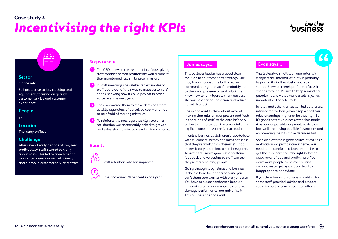## *Incentivising the right KPIs*  **Case study 3**

### **Sector**  Online retail

Sell protective safety clothing and equipment, focusing on quality, customer service and customer experience.

### **People**

12

### **Location**

Thornaby-on-Tees

### **Challenge**

After several early periods of low/zero profitability, staff started to worry about costs. This led to a well-meant workforce obsession with efficiency and a drop in customer service metrics.

- **1** The CEO renewed the customer-first focus, giving staff confidence that profitability would come if they maintained faith in long-term vision.
- In staff meetings she celebrated examples of staff going out of their way to meet customers' needs, showing how it could pay off in order value over the next year. **2**
- She empowered them to make decisions more quickly, regardless of perceived cost – and not to be afraid of making mistakes. **3**
- To reinforce the message that high customer satisfaction was inextricably linked to growth and sales, she introduced a profit-share scheme. **4**

### **Results:**





Sales increased 28 per cent in one year

### **James says... Evan says... Steps taken:**

This business leader has a good clear focus on her customer-first strategy. She may have dropped the ball a bit on communicating it to staff – probably due to the sheer pressure of work – but she knew how to reinvigorate them because she was so clear on the vision and values herself. Perfect.

She might want to think about ways of making that mission ever-present and fresh in the minds of staff, so the onus isn't only on her to reinforce it all the time. Making it explicit come bonus time is also crucial.

In online businesses staff aren't face-to-face with customers, so they can miss that sense that they're "making a difference". That makes it easy to slip into a numbers game. To avoid this, make good use of customer feedback and verbatims so staff can see they're really helping people.

Going through tough times in a business is double-hard for leaders because you can't share your worries with everyone else. You have to exude confidence because insecurity is a major demotivator and will damage performance, not galvanise it. This business has done well.

This is clearly a small, lean operation with a tight team. Internal visibility is probably high, and that allows behaviours to spread. So when there's profit-only focus it sweeps through. Be sure to keep reminding people that *how* they make a sale is just as important as the sale itself. 66

In retail and other transaction-led businesses, intrinsic motivation (when people find their roles rewarding) might not be that high. So it's good that this business owner has made it as easy as possible for people to do their jobs well – removing possible frustrations and empowering them to make decisions fast.

She's also offered a good source of extrinsic motivation – a profit share scheme. You need to be careful in a lean enterprise to get the remuneration mix right between good rates of pay and profit-share. You don't want people to be over-reliant on bonuses to get by as it can lead to inappropriate behaviours.

If you think financial stress is a problem for some staff, practical advice and support could be part of your motivation efforts.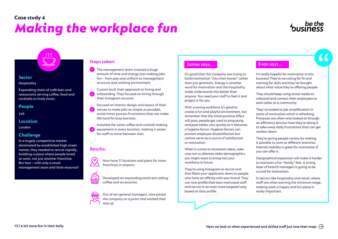# *Making the workplace fun* **Case study 4**



### **Sector**

Hospitality

Expanding chain of café-bars and restaurants serving coffee, food and cocktails to lively music.

 $333$ 

### **People**

245

### **Location**

London

### **Challenge**

In a hugely competitive market dominated by established high street names, they needed to recruit rapidly, building a place where people loved to work, not just another franchise. But how – with only a small management team and little resource?



Custom-built their approach to hiring and onboarding. They focused on hiring through their Instagram account. **2**

Focused on interior design and layout of their venues to make jobs as simple as possible, avoid minor process frustrations that can make life hard for busy baristas. **3**

Installed the same coffee and cocktail-making equipment in every location, making it easier for staff to move between sites.

### **Results:**

**4**



Now have 11 locations and plans for more franchises in airports



Developed an expanding retail arm selling coffee and accessories



Out of ten general managers, nine joined the company as a junior and worked their way up

### **James says... Evan says... Steps taken:**

It's good that this company are trying to build motivation "into their bones" rather than just gimmicks. Energy is another word for motivation and the hospitality trade understands this better than anyone. You need your staff to feel it and project it for you.

With a young workforce it's good to create a fun and playful environment, but remember that the initial positive effect will pass; people get used to ping-pong and pool tables very quickly as it becomes a hygiene factor. Hygiene factors can prevent employee dissatisfaction but cannot serve as a source of satisfaction or motivation.

When it comes to recreation ideas, take care not to alienate older demographics you might want to bring into your workforce in future.

They're using Instagram to recruit and that filters your applicants down to people who have an affinity with your brand. They can now profile their best motivated staff and recruit in an even more targeted way, based on that profile.

I'm really hopeful for motivation in this business! They're recruiting for fit and training for skills and they've thought about what value they're offering people. <sup>"</sup>

They should keep using social media to onboard and connect their employees to each other as a community.

They've looked at job simplification in terms of motivation which is refreshing. Processes are often only looked at through an efficiency lens but here they're doing it to take away daily frustrations that can get workers down.

They're giving people variety by making it possible to work at different branches. Internal mobility is great for motivation if you can offer it.

Geographical expansion will make it harder to maintain a fun "family" feel. A strong layer of branch managers is going to be crucial for motivation.

In sectors like hospitality and retail, where staff are often earning the minimum wage, making work a happy and fun place is really important.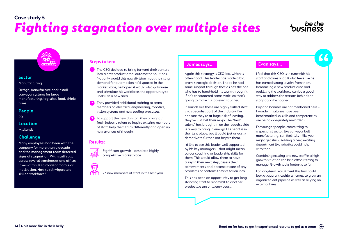## *Fighting stagnation over multiple sites* **Case study 5**

### **Sector**

Manufacturing

Design, manufacture and install conveyor systems for large manufacturing, logistics, food, drinks firms.

 $\overline{\bullet}$   $\overline{\bullet}$   $\overline{\bullet}$   $\overline{\bullet}$   $\overline{\bullet}$   $\overline{\bullet}$ 

### **People**

90

### **Location**

Midlands

### **Challenge**

Many employees had been with the company for more than a decade and the management team detected signs of stagnation. With staff split across several warehouses and offices it was difficult to monitor morale or motivation. How to reinvigorate a skilled workforce?

### **Steps taken:**

- **1** The CEO decided to bring forward their venture into a new product area: automated solutions. Not only would this new division meet the rising demand for automation he'd spotted in the marketplace, he hoped it would also galvanise and stimulate his workforce, the opportunity to upskill in a new area.
- They provided additional training to team members on electrical engineering, robotics, vision systems and new tooling processes. **2**
- To support the new division, they brought in fresh industry talent to inspire existing members of staff, help them think differently and open up new avenues of thought. **3**

Significant growth – despite a highly

### **Results:**



23 new members of staff in the last year

competitive marketplace

### **James says... Evan says...**

Again this strategy is CEO-led, which is often good. This leader has made a big, brave strategic decision. I hope he had some support through that as he's the one who has to hand-hold his team through it. If he's encountered some cynicism that's going to make his job even tougher.

It sounds like these are highly skilled staff in a specialist part of the industry. I'm not sure they're at huge risk of leaving, they've just lost their mojo. The "fresh talent" he's brought in on the robotics side is a way to bring in energy. His heart is in the right place, but it could just as easily demotivate further, not inspire them.

I'd like to see this leader well-supported by his key managers – that might mean career coaching or leadership skills for them. This would allow them to have a say in their next step, assess their achievements and become aware of any problems or patterns they've fallen into.

This has been an opportunity to get longstanding staff to recommit to another productive ten or twenty years.

I feel that this CEO is in tune with his staff and cares a lot. It also feels like he has earned strong loyalty from them. Introducing a new product area and upskilling the workforce can be a good way to address the reasons behind the stagnation he noticed. <sup>"</sup>

Pay and bonuses are not mentioned here – I wonder if salaries have been benchmarked so skills and competencies are being adequately rewarded?

For younger people, committing to a specialist sector, like conveyor belt manufacturing, can feel risky – like you might get stuck. Adding a new, exciting department like robotics could help with that.

Combining existing and new staff in a highgrowth situation can be a difficult thing to manage. Growth looks fantastic so far.

For long-term recruitment this firm could look at apprenticeship schemes, to grow an organic talent pipeline as well as relying on external hires.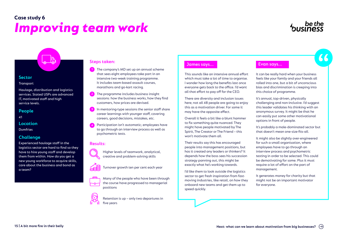# *Improving team work* **Case study 6**



### **Sector**

### **Transport**

Haulage, distribution and logistics services. Stated USPs are advanced IT, motivated staff and high service levels.

### **People**

41

### **Location**

Dumfries

### **Challenge**

Experienced haulage staff in the logistics sector are hard to find so they have to hire young staff and develop them from within. How do you get a new young workforce to acquire skills, care about the business and bond as a team?

- The company's MD set up an annual scheme that sees eight employees take part in an intensive two-week training programme. It includes team-based assault courses, marathons and go-kart racing. **1**
- 2 The programme includes business insight sessions: how the business works, how they find customers, how prices are devised.
- In mentoring-type sessions the senior staff share career learnings with younger staff, covering careers, good decisions, mistakes, etc. **3**
- Participation isn't automatic; employees have to go through an interview process as well as psychometric tests. **4**

### **Results:**







Many of the people who have been through the course have progressed to managerial positions

Retention is up – only two departures in five years

### **James says... Evan says... Steps taken:**

This sounds like an intensive annual effort which must take a lot of time to organise. I wonder how long the benefits last once everyone gets back to the office. I'd want all that effort to pay off for the CEO.

There are diversity and inclusion issues here; not all 48 people are going to enjoy this as a motivation driver. For some it may have the opposite effect.

Overall it feels a bit like a blunt hammer to fix something quite nuanced. They might have people motivated by The Spirit, The Creator or The Friend – this won't motivate them all.

Their results say this has encouraged people into management positions, but has it created any leaders or thinkers? It depends how the boss sees his succession strategy panning out, this might be exactly what he's working towards.

I'd like them to look outside the logistics sector to get fresh inspiration from fastmoving industries, like retail, on how they onboard new teams and get them up to speed quickly.

It can be really hard when your business feels like your family and your friends all rolled into one, but a bit of unconscious bias and discrimination is creeping into this choice of programme. "

It's annual, top-driven, physically challenging and non-inclusive. I'd suggest this leader validates his thinking with an anonymous survey. It might be that he can easily put some other motivational options in front of people.

It's probably a male-dominated sector but that doesn't mean one-size-fits-all.

It might also be slightly over-engineered for such a small organisation, where employees have to go through an interview process and psychometric testing in order to be selected. This could be demotivating for some. Plus it must require a lot of effort on the part of management.

It generates money for charity but that might not be an important motivator for everyone.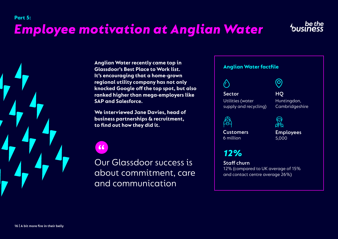# *Employee motivation at Anglian Water*



**Anglian Water factfile Anglian Water recently came top in Glassdoor's Best Place to Work list. It's encouraging that a home-grown regional utility company has not only knocked Google off the top spot, but also ranked higher than mega-employers like SAP and Salesforce.** 

**We interviewed Jane Davies, head of business partnerships & recruitment, to find out how they did it.**

 $\overline{\mathbf{K}}$ 

Our Glassdoor success is about commitment, care and communication



**Sector** Utilities (water supply and recycling)

**HQ** Huntingdon, Cambridgeshire

 $\bigcirc$ 



**Customers** 6 million

্য<br>ক্রম **Employees**  5,000

*12%*

**Staff churn** 12% (compared to UK average of 15% and contact centre average 26%)

<span id="page-15-0"></span>**Part 5:**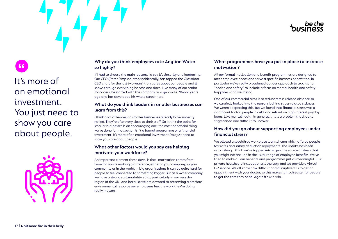# "

# It's more of an emotional investment. You just need to show you care about people.



### **Why do you think employees rate Anglian Water so highly?**

If I had to choose the main reasons, I'd say it's sincerity and leadership. Our CEO (Peter Simpson, who incidentally, has topped the Glassdoor CEO chart for the last two years) truly cares about our people and it shows through everything he says and does. Like many of our senior managers, he started with the company as a graduate 20-odd years ago and has developed his whole career here.

### **What do you think leaders in smaller businesses can learn from this?**

I think a lot of leaders in smaller businesses already have sincerity nailed. They're often very close to their staff. So I think the point for smaller businesses is an encouraging one: the most beneficial thing we've done for motivation isn't a formal programme or a financial investment. It's more of an emotional investment. You just need to show you care about people.

### **What other factors would you say are helping motivate your workforce?**

An important element these days, is that, motivation comes from knowing you're making a difference, either in your company, in your community or in the world. In big organisations it can be quite hard for people to feel connected to something bigger. But as a water company we have a strong sustainability ethic, particularly in our very dry region of the UK. And because we are devoted to preserving a precious environmental resource our employees feel the work they're doing really matters.

### **What programmes have you put in place to increase motivation?**

All our formal motivation and benefit programmes are designed to meet employee needs and serve a specific business benefit too. In particular we've really broadened out our approach to traditional "health and safety" to include a focus on mental health and safety – happiness and wellbeing.

One of our commercial aims is to reduce stress-related absence so we carefully looked into the reasons behind stress-related sickness. We weren't expecting this, but we found that financial stress was a significant factor: people in debt and reliant on high-interest payday loans. Like mental health in general, this is a problem that's quite stigmatised and difficult to uncover.

### **How did you go about supporting employees under financial stress?**

We piloted a subsidised workplace loan scheme which offered people fair rates and salary deduction repayments. The uptake has been astonishing. I think we've tapped into a genuine source of stress that you might not include in the usual range of employee benefits. We've tried to make all our benefits and programmes just as meaningful. Our private healthcare includes physiotherapy, and we provide a virtual GP service. We all know how difficult and disruptive it is to get an appointment with your doctor, so this makes it much easier for people to get the care they need. Again it's win-win.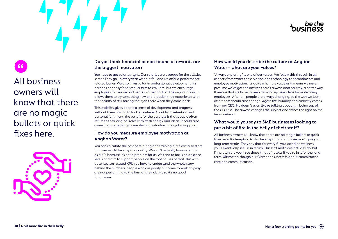# "

All business owners will know that there are no magic bullets or quick fixes here.



### **Do you think financial or non-financial rewards are the biggest motivator?**

You have to get salaries right. Our salaries are average for the utilities sector. They go up every year without fail and we offer a performancerelated bonus. We also invest a lot in professional development. It's perhaps not easy for a smaller firm to emulate, but we encourage employees to take secondments in other parts of the organisation. It allows them to try something new and broaden their experience with the security of still having their job there when they come back.

This mobility gives people a sense of development and progress without them having to look elsewhere. Apart from retention and personal fulfilment, the benefit for the business is that people often return to their original roles with fresh energy and ideas. It could also come from something as simple as job-shadowing or job-swapping.

### **How do you measure employee motivation at Anglian Water?**

You can calculate the cost of re-hiring and training quite easily so staff turnover would be easy to quantify. We don't actually have retention as a KPI because it's not a problem for us. We tend to focus on absence levels and aim to support people on the root causes of that. But with absenteeism-related KPIs you have to understand the whole story behind the numbers; people who are poorly but come to work anyway are not performing to the best of their ability so it's no good for anyone.

### **How would you describe the culture at Anglian Water – what are your values?**

"Always exploring" is one of our values. We follow this through in all aspects from water conservation and technology to secondments and employee motivation. It's quite a humble value as it means we never presume we've got the answer, there's always another way, a better way. It means that we have to keep thinking up new ideas for motivating employees. After all, people are always changing, so the way we look after them should also change. Again this humility and curiosity comes from our CEO. He doesn't even like us talking about him being top of the CEO list – he always changes the subject and shines the light on the team instead!

### **What would you say to SME businesses looking to put a bit of fire in the belly of their staff?**

All business owners will know that there are no magic bullets or quick fixes here. It's tempting to do the easy things but those won't give you long-term results. They say that for every £1 you spend on wellness; you'll eventually see £8 in return. This isn't maths we actually do, but I'm pretty sure you'll see these kinds of results if you're in it for the long term. Ultimately though our Glassdoor success is about commitment, care and communication.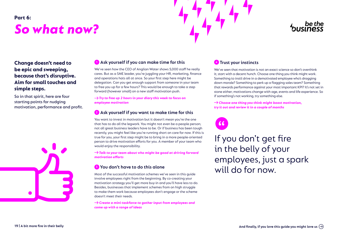# <span id="page-18-0"></span>*So what now?* **Part 6:**



### **Change doesn't need to be epic and sweeping, because that's disruptive. Aim for small touches and simple steps.**

So in that spirit, here are four starting points for nudging motivation, performance and profit.



### **1 Ask yourself if you can make time for this**

We've seen how the CEO of Anglian Water shows 5,000 staff he really cares. But as a SME leader, you're juggling your HR, marketing, finance and operations hats all at once. So your first step here might be delegation. Can you get enough support from someone in your team to free you up for a few hours? This would be enough to take a step forward (however small) on a new staff motivation push.

→ Try to free up 2 hours in your diary this week to focus on *employee motivation*

### **2 Ask yourself if you want to make time for this**

You want to invest in motivation but it doesn't mean you're the one that has to do all the legwork. You might not even be a people person; not all great business leaders have to be. Or if business has been tough recently, you might feel like you're running short on care for now. If this is true for you, your first step might be to bring in a more people-oriented person to drive motivation efforts for you. A member of your team who would enjoy the responsibility.

 *Talk to your team about who might be good at driving forward motivation efforts*

### **3 You don't have to do this alone**

Most of the successful motivation schemes we've seen in this guide involve employees right from the beginning. By co-creating your motivation strategy you'll get more buy-in and you'll have less to do. Besides, businesses that implement schemes from on high struggle to make them work because employees don't engage or the scheme doesn't meet their needs.

 *Create a mini-taskforce to gather input from employees and come up with a range of ideas* 

### **4 Trust your instincts**

We've seen that motivation is not an exact science so don't overthink it; start with a decent hunch. Choose one thing you think might work. Something to instil drive in a demotivated employee who's dragging down morale? Something to perk up a flagging sales team? Something that rewards performance against your most important KPI? It's not set in stone either; motivations change with age, events and life experience. So if something's not working, try something else.

 *Choose one thing you think might boost motivation, try it out and review it in a couple of months*

# <sup>""</sup>

If you don't get fire in the belly of your employees, just a spark will do for now.